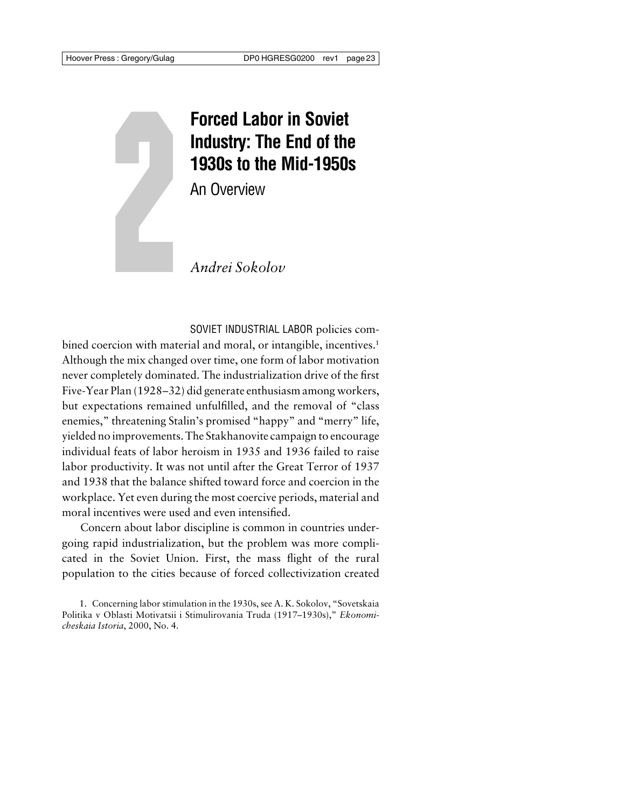2

# **Forced Labor in Soviet Industry: The End of the 1930s to the Mid-1950s**

An Overview

*Andrei Sokolov*

SOVIET INDUSTRIAL LABOR policies combined coercion with material and moral, or intangible, incentives.<sup>1</sup> Although the mix changed over time, one form of labor motivation never completely dominated. The industrialization drive of the first Five-Year Plan (1928–32) did generate enthusiasm among workers, but expectations remained unfulfilled, and the removal of "class enemies," threatening Stalin's promised "happy" and "merry" life, yielded no improvements. The Stakhanovite campaign to encourage individual feats of labor heroism in 1935 and 1936 failed to raise labor productivity. It was not until after the Great Terror of 1937 and 1938 that the balance shifted toward force and coercion in the workplace. Yet even during the most coercive periods, material and moral incentives were used and even intensified.

Concern about labor discipline is common in countries undergoing rapid industrialization, but the problem was more complicated in the Soviet Union. First, the mass flight of the rural population to the cities because of forced collectivization created

<sup>1.</sup> Concerning labor stimulation in the 1930s, see A. K. Sokolov, "Sovetskaia Politika v Oblasti Motivatsii i Stimulirovania Truda (1917–1930s)," *Ekonomicheskaia Istoria*, 2000, No. 4.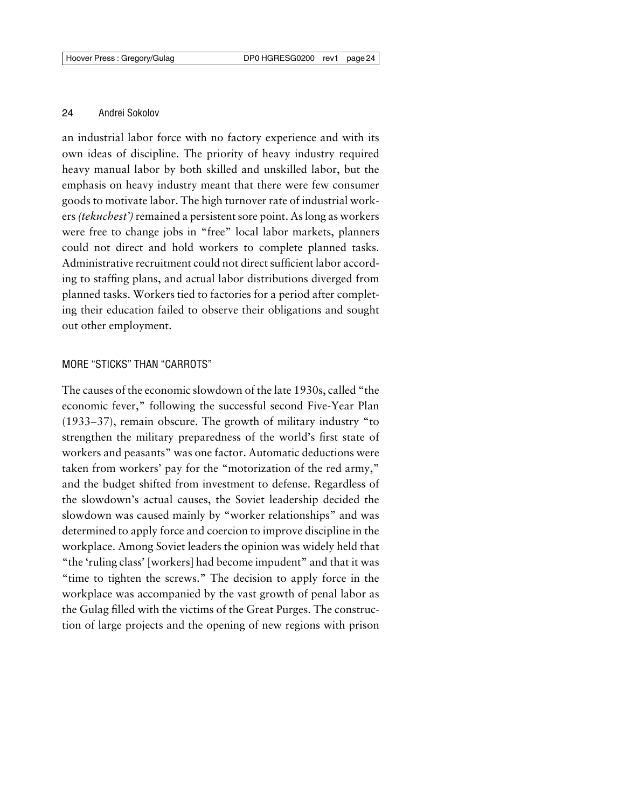an industrial labor force with no factory experience and with its own ideas of discipline. The priority of heavy industry required heavy manual labor by both skilled and unskilled labor, but the emphasis on heavy industry meant that there were few consumer goods to motivate labor. The high turnover rate of industrial workers*(tekuchest')*remained a persistent sore point. As long as workers were free to change jobs in "free" local labor markets, planners could not direct and hold workers to complete planned tasks. Administrative recruitment could not direct sufficient labor according to staffing plans, and actual labor distributions diverged from planned tasks. Workers tied to factories for a period after completing their education failed to observe their obligations and sought out other employment.

## MORE "STICKS" THAN "CARROTS"

The causes of the economic slowdown of the late 1930s, called "the economic fever," following the successful second Five-Year Plan (1933–37), remain obscure. The growth of military industry "to strengthen the military preparedness of the world's first state of workers and peasants" was one factor. Automatic deductions were taken from workers' pay for the "motorization of the red army," and the budget shifted from investment to defense. Regardless of the slowdown's actual causes, the Soviet leadership decided the slowdown was caused mainly by "worker relationships" and was determined to apply force and coercion to improve discipline in the workplace. Among Soviet leaders the opinion was widely held that "the 'ruling class' [workers] had become impudent" and that it was "time to tighten the screws." The decision to apply force in the workplace was accompanied by the vast growth of penal labor as the Gulag filled with the victims of the Great Purges. The construction of large projects and the opening of new regions with prison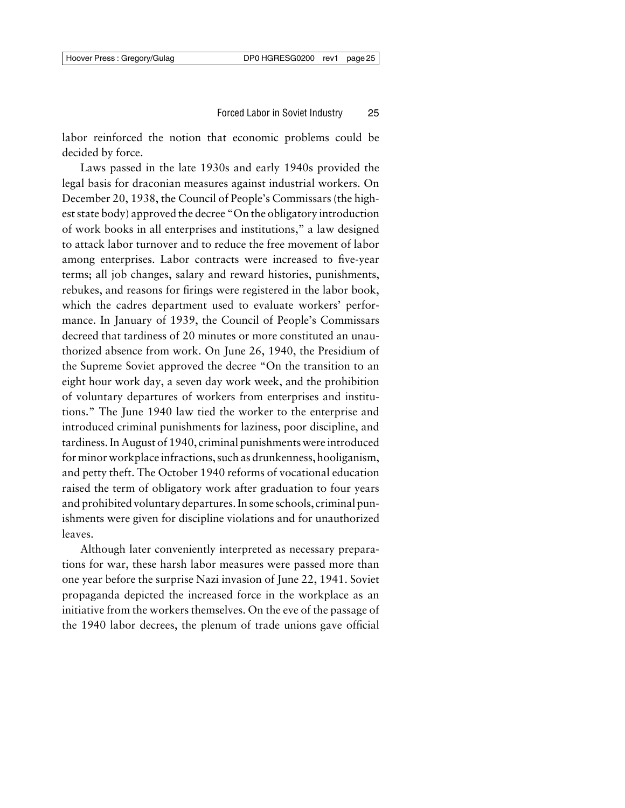labor reinforced the notion that economic problems could be decided by force.

Laws passed in the late 1930s and early 1940s provided the legal basis for draconian measures against industrial workers. On December 20, 1938, the Council of People's Commissars (the highest state body) approved the decree "On the obligatory introduction of work books in all enterprises and institutions," a law designed to attack labor turnover and to reduce the free movement of labor among enterprises. Labor contracts were increased to five-year terms; all job changes, salary and reward histories, punishments, rebukes, and reasons for firings were registered in the labor book, which the cadres department used to evaluate workers' performance. In January of 1939, the Council of People's Commissars decreed that tardiness of 20 minutes or more constituted an unauthorized absence from work. On June 26, 1940, the Presidium of the Supreme Soviet approved the decree "On the transition to an eight hour work day, a seven day work week, and the prohibition of voluntary departures of workers from enterprises and institutions." The June 1940 law tied the worker to the enterprise and introduced criminal punishments for laziness, poor discipline, and tardiness. In August of 1940, criminal punishments were introduced for minor workplace infractions, such as drunkenness, hooliganism, and petty theft. The October 1940 reforms of vocational education raised the term of obligatory work after graduation to four years and prohibited voluntary departures. In some schools, criminal punishments were given for discipline violations and for unauthorized leaves.

Although later conveniently interpreted as necessary preparations for war, these harsh labor measures were passed more than one year before the surprise Nazi invasion of June 22, 1941. Soviet propaganda depicted the increased force in the workplace as an initiative from the workers themselves. On the eve of the passage of the 1940 labor decrees, the plenum of trade unions gave official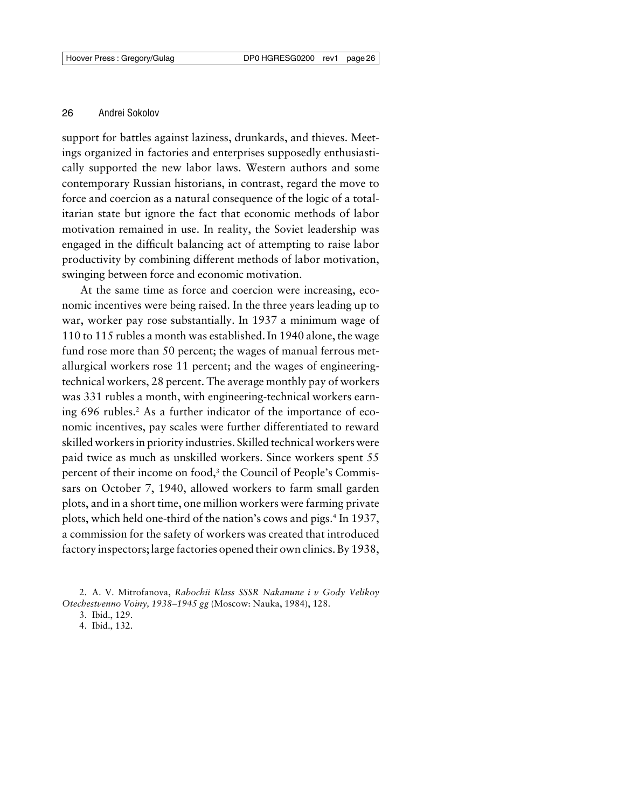support for battles against laziness, drunkards, and thieves. Meetings organized in factories and enterprises supposedly enthusiastically supported the new labor laws. Western authors and some contemporary Russian historians, in contrast, regard the move to force and coercion as a natural consequence of the logic of a totalitarian state but ignore the fact that economic methods of labor motivation remained in use. In reality, the Soviet leadership was engaged in the difficult balancing act of attempting to raise labor productivity by combining different methods of labor motivation, swinging between force and economic motivation.

At the same time as force and coercion were increasing, economic incentives were being raised. In the three years leading up to war, worker pay rose substantially. In 1937 a minimum wage of 110 to 115 rubles a month was established. In 1940 alone, the wage fund rose more than 50 percent; the wages of manual ferrous metallurgical workers rose 11 percent; and the wages of engineeringtechnical workers, 28 percent. The average monthly pay of workers was 331 rubles a month, with engineering-technical workers earning 696 rubles.<sup>2</sup> As a further indicator of the importance of economic incentives, pay scales were further differentiated to reward skilled workers in priority industries. Skilled technical workers were paid twice as much as unskilled workers. Since workers spent 55 percent of their income on food,<sup>3</sup> the Council of People's Commissars on October 7, 1940, allowed workers to farm small garden plots, and in a short time, one million workers were farming private plots, which held one-third of the nation's cows and pigs.4 In 1937, a commission for the safety of workers was created that introduced factory inspectors; large factories opened their own clinics. By 1938,

- 2. A. V. Mitrofanova, *Rabochii Klass SSSR Nakanune i v Gody Velikoy Otechestvenno Voiny, 1938–1945 gg* (Moscow: Nauka, 1984), 128.
	- 3. Ibid., 129.
	- 4. Ibid., 132.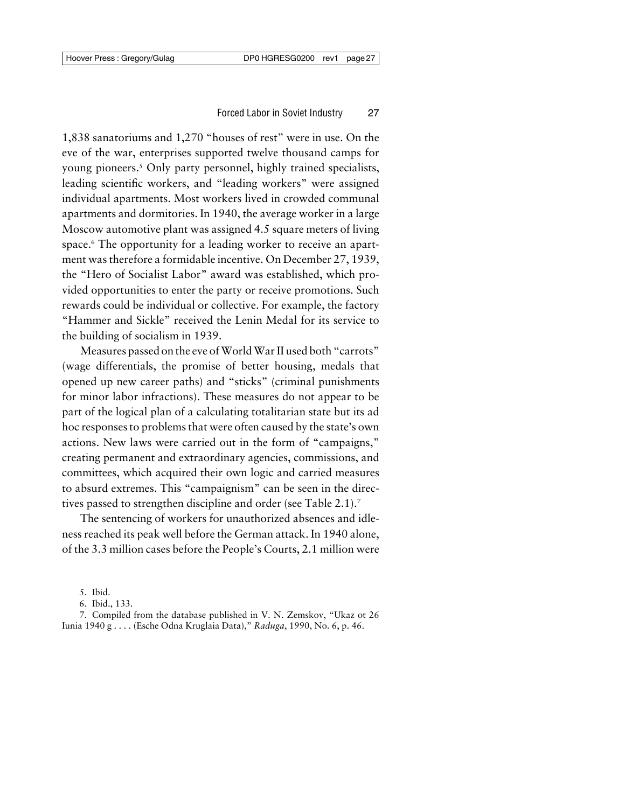1,838 sanatoriums and 1,270 "houses of rest" were in use. On the eve of the war, enterprises supported twelve thousand camps for young pioneers.5 Only party personnel, highly trained specialists, leading scientific workers, and "leading workers" were assigned individual apartments. Most workers lived in crowded communal apartments and dormitories. In 1940, the average worker in a large Moscow automotive plant was assigned 4.5 square meters of living space.<sup>6</sup> The opportunity for a leading worker to receive an apartment was therefore a formidable incentive. On December 27, 1939, the "Hero of Socialist Labor" award was established, which provided opportunities to enter the party or receive promotions. Such rewards could be individual or collective. For example, the factory "Hammer and Sickle" received the Lenin Medal for its service to the building of socialism in 1939.

Measures passed on the eve of World War II used both "carrots" (wage differentials, the promise of better housing, medals that opened up new career paths) and "sticks" (criminal punishments for minor labor infractions). These measures do not appear to be part of the logical plan of a calculating totalitarian state but its ad hoc responses to problems that were often caused by the state's own actions. New laws were carried out in the form of "campaigns," creating permanent and extraordinary agencies, commissions, and committees, which acquired their own logic and carried measures to absurd extremes. This "campaignism" can be seen in the directives passed to strengthen discipline and order (see Table 2.1).<sup>7</sup>

The sentencing of workers for unauthorized absences and idleness reached its peak well before the German attack. In 1940 alone, of the 3.3 million cases before the People's Courts, 2.1 million were

5. Ibid.

6. Ibid., 133.

7. Compiled from the database published in V. N. Zemskov, "Ukaz ot 26 Iunia 1940 g.... (Esche Odna Kruglaia Data)," *Raduga*, 1990, No. 6, p. 46.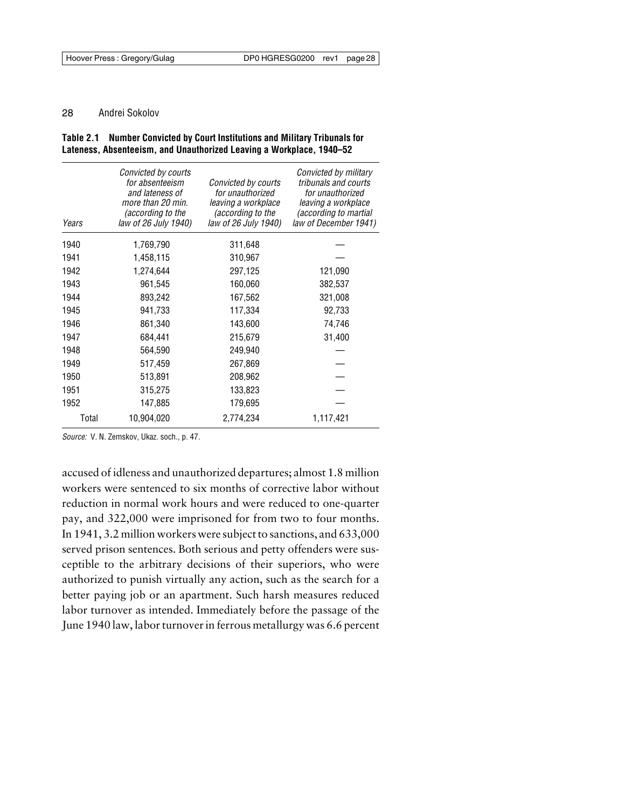| Years | Convicted by courts<br>for absenteeism<br>and lateness of<br>more than 20 min.<br>(according to the<br>law of 26 July 1940) | Convicted by courts<br>for unauthorized<br>leaving a workplace<br>(according to the<br>law of 26 July 1940) | Convicted by military<br>tribunals and courts<br>for unauthorized<br>leaving a workplace<br><i>(according to martial</i><br>law of December 1941) |
|-------|-----------------------------------------------------------------------------------------------------------------------------|-------------------------------------------------------------------------------------------------------------|---------------------------------------------------------------------------------------------------------------------------------------------------|
| 1940  | 1,769,790                                                                                                                   | 311,648                                                                                                     |                                                                                                                                                   |
| 1941  | 1,458,115                                                                                                                   | 310,967                                                                                                     |                                                                                                                                                   |
| 1942  | 1,274,644                                                                                                                   | 297,125                                                                                                     | 121,090                                                                                                                                           |
| 1943  | 961,545                                                                                                                     | 160,060                                                                                                     | 382,537                                                                                                                                           |
| 1944  | 893,242                                                                                                                     | 167,562                                                                                                     | 321,008                                                                                                                                           |
| 1945  | 941,733                                                                                                                     | 117,334                                                                                                     | 92,733                                                                                                                                            |
| 1946  | 861,340                                                                                                                     | 143,600                                                                                                     | 74,746                                                                                                                                            |
| 1947  | 684,441                                                                                                                     | 215,679                                                                                                     | 31,400                                                                                                                                            |
| 1948  | 564,590                                                                                                                     | 249,940                                                                                                     |                                                                                                                                                   |
| 1949  | 517,459                                                                                                                     | 267,869                                                                                                     |                                                                                                                                                   |
| 1950  | 513,891                                                                                                                     | 208,962                                                                                                     |                                                                                                                                                   |
| 1951  | 315,275                                                                                                                     | 133,823                                                                                                     |                                                                                                                                                   |
| 1952  | 147,885                                                                                                                     | 179,695                                                                                                     |                                                                                                                                                   |
| Total | 10,904,020                                                                                                                  | 2,774,234                                                                                                   | 1,117,421                                                                                                                                         |

### **Table 2.1 Number Convicted by Court Institutions and Military Tribunals for Lateness, Absenteeism, and Unauthorized Leaving a Workplace, 1940–52**

*Source:* V. N. Zemskov, Ukaz. soch., p. 47.

accused of idleness and unauthorized departures; almost 1.8 million workers were sentenced to six months of corrective labor without reduction in normal work hours and were reduced to one-quarter pay, and 322,000 were imprisoned for from two to four months. In 1941, 3.2 million workers were subject to sanctions, and 633,000 served prison sentences. Both serious and petty offenders were susceptible to the arbitrary decisions of their superiors, who were authorized to punish virtually any action, such as the search for a better paying job or an apartment. Such harsh measures reduced labor turnover as intended. Immediately before the passage of the June 1940 law, labor turnover in ferrous metallurgy was 6.6 percent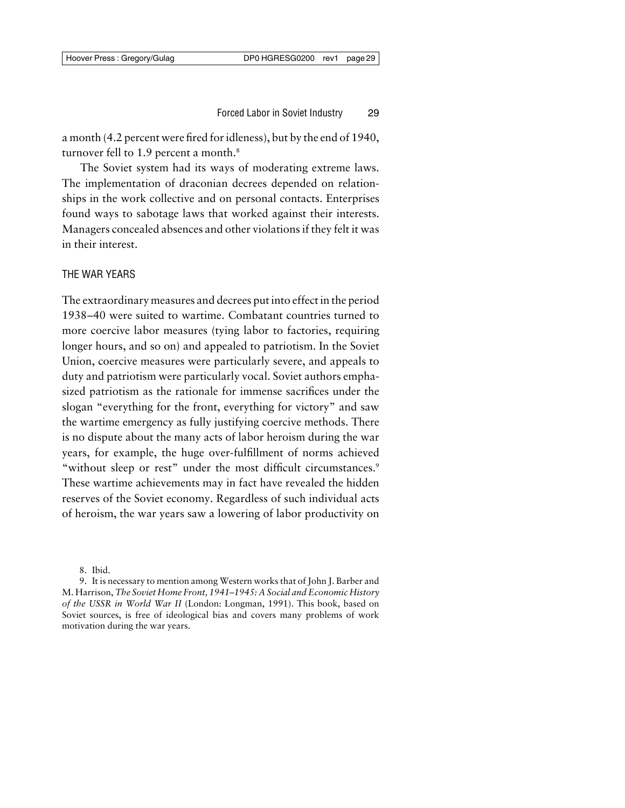a month (4.2 percent were fired for idleness), but by the end of 1940, turnover fell to 1.9 percent a month.<sup>8</sup>

The Soviet system had its ways of moderating extreme laws. The implementation of draconian decrees depended on relationships in the work collective and on personal contacts. Enterprises found ways to sabotage laws that worked against their interests. Managers concealed absences and other violations if they felt it was in their interest.

# THE WAR YEARS

The extraordinary measures and decrees put into effect in the period 1938–40 were suited to wartime. Combatant countries turned to more coercive labor measures (tying labor to factories, requiring longer hours, and so on) and appealed to patriotism. In the Soviet Union, coercive measures were particularly severe, and appeals to duty and patriotism were particularly vocal. Soviet authors emphasized patriotism as the rationale for immense sacrifices under the slogan "everything for the front, everything for victory" and saw the wartime emergency as fully justifying coercive methods. There is no dispute about the many acts of labor heroism during the war years, for example, the huge over-fulfillment of norms achieved "without sleep or rest" under the most difficult circumstances.<sup>9</sup> These wartime achievements may in fact have revealed the hidden reserves of the Soviet economy. Regardless of such individual acts of heroism, the war years saw a lowering of labor productivity on

<sup>8.</sup> Ibid.

<sup>9.</sup> It is necessary to mention among Western works that of John J. Barber and M. Harrison, *The Soviet Home Front, 1941–1945: A Social and Economic History of the USSR in World War II* (London: Longman, 1991). This book, based on Soviet sources, is free of ideological bias and covers many problems of work motivation during the war years.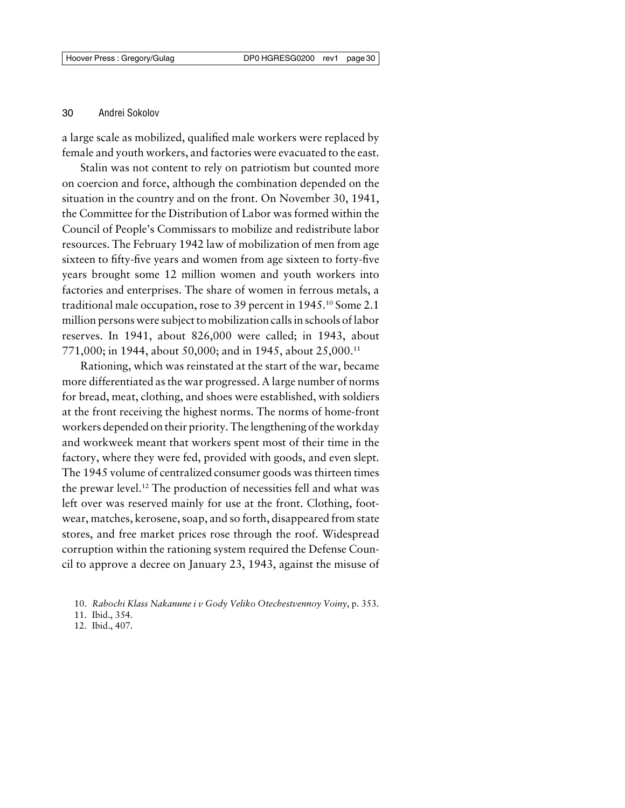a large scale as mobilized, qualified male workers were replaced by female and youth workers, and factories were evacuated to the east.

Stalin was not content to rely on patriotism but counted more on coercion and force, although the combination depended on the situation in the country and on the front. On November 30, 1941, the Committee for the Distribution of Labor was formed within the Council of People's Commissars to mobilize and redistribute labor resources. The February 1942 law of mobilization of men from age sixteen to fifty-five years and women from age sixteen to forty-five years brought some 12 million women and youth workers into factories and enterprises. The share of women in ferrous metals, a traditional male occupation, rose to 39 percent in 1945.10 Some 2.1 million persons were subject to mobilization calls in schools of labor reserves. In 1941, about 826,000 were called; in 1943, about 771,000; in 1944, about 50,000; and in 1945, about 25,000.11

Rationing, which was reinstated at the start of the war, became more differentiated as the war progressed. A large number of norms for bread, meat, clothing, and shoes were established, with soldiers at the front receiving the highest norms. The norms of home-front workers depended on their priority. The lengthening of the workday and workweek meant that workers spent most of their time in the factory, where they were fed, provided with goods, and even slept. The 1945 volume of centralized consumer goods was thirteen times the prewar level.<sup>12</sup> The production of necessities fell and what was left over was reserved mainly for use at the front. Clothing, footwear, matches, kerosene, soap, and so forth, disappeared from state stores, and free market prices rose through the roof. Widespread corruption within the rationing system required the Defense Council to approve a decree on January 23, 1943, against the misuse of

<sup>10.</sup> *Rabochi Klass Nakanune i v Gody Veliko Otechestvennoy Voiny*, p. 353.

<sup>11.</sup> Ibid., 354.

<sup>12.</sup> Ibid., 407.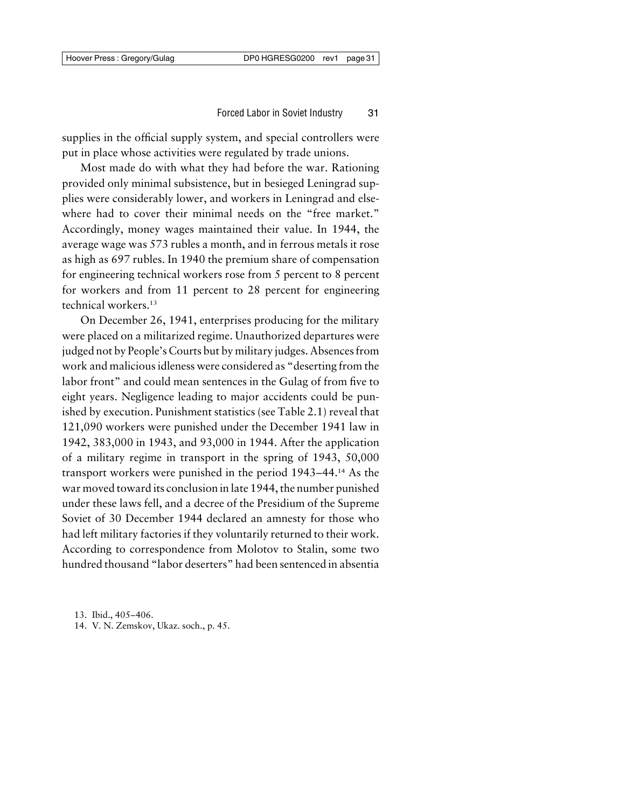supplies in the official supply system, and special controllers were put in place whose activities were regulated by trade unions.

Most made do with what they had before the war. Rationing provided only minimal subsistence, but in besieged Leningrad supplies were considerably lower, and workers in Leningrad and elsewhere had to cover their minimal needs on the "free market." Accordingly, money wages maintained their value. In 1944, the average wage was 573 rubles a month, and in ferrous metals it rose as high as 697 rubles. In 1940 the premium share of compensation for engineering technical workers rose from 5 percent to 8 percent for workers and from 11 percent to 28 percent for engineering technical workers.13

On December 26, 1941, enterprises producing for the military were placed on a militarized regime. Unauthorized departures were judged not by People's Courts but by military judges. Absences from work and malicious idleness were considered as "deserting from the labor front" and could mean sentences in the Gulag of from five to eight years. Negligence leading to major accidents could be punished by execution. Punishment statistics (see Table 2.1) reveal that 121,090 workers were punished under the December 1941 law in 1942, 383,000 in 1943, and 93,000 in 1944. After the application of a military regime in transport in the spring of 1943, 50,000 transport workers were punished in the period 1943–44.14 As the war moved toward its conclusion in late 1944, the number punished under these laws fell, and a decree of the Presidium of the Supreme Soviet of 30 December 1944 declared an amnesty for those who had left military factories if they voluntarily returned to their work. According to correspondence from Molotov to Stalin, some two hundred thousand "labor deserters" had been sentenced in absentia

13. Ibid., 405–406.

14. V. N. Zemskov, Ukaz. soch., p. 45.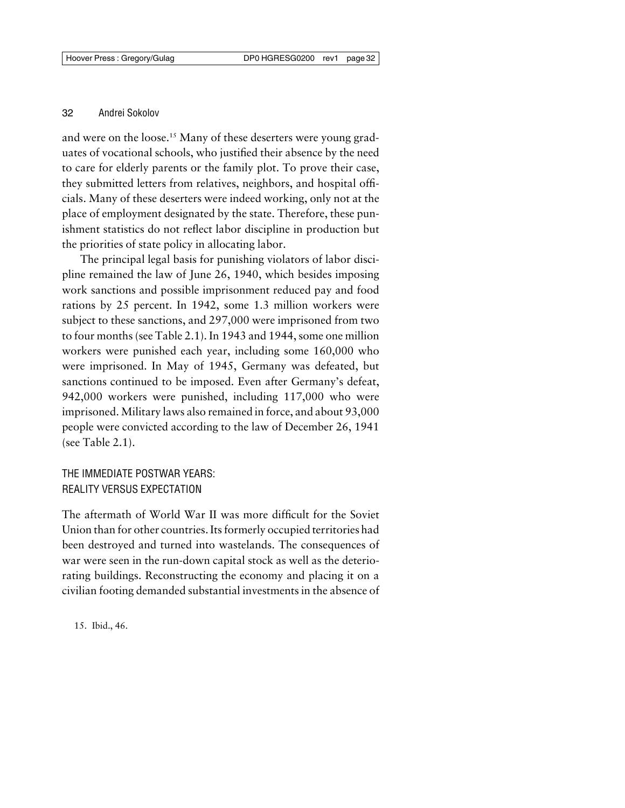and were on the loose.<sup>15</sup> Many of these deserters were young graduates of vocational schools, who justified their absence by the need to care for elderly parents or the family plot. To prove their case, they submitted letters from relatives, neighbors, and hospital officials. Many of these deserters were indeed working, only not at the place of employment designated by the state. Therefore, these punishment statistics do not reflect labor discipline in production but the priorities of state policy in allocating labor.

The principal legal basis for punishing violators of labor discipline remained the law of June 26, 1940, which besides imposing work sanctions and possible imprisonment reduced pay and food rations by 25 percent. In 1942, some 1.3 million workers were subject to these sanctions, and 297,000 were imprisoned from two to four months (see Table 2.1). In 1943 and 1944, some one million workers were punished each year, including some 160,000 who were imprisoned. In May of 1945, Germany was defeated, but sanctions continued to be imposed. Even after Germany's defeat, 942,000 workers were punished, including 117,000 who were imprisoned. Military laws also remained in force, and about 93,000 people were convicted according to the law of December 26, 1941 (see Table 2.1).

# THE IMMEDIATE POSTWAR YEARS: REALITY VERSUS EXPECTATION

The aftermath of World War II was more difficult for the Soviet Union than for other countries. Its formerly occupied territories had been destroyed and turned into wastelands. The consequences of war were seen in the run-down capital stock as well as the deteriorating buildings. Reconstructing the economy and placing it on a civilian footing demanded substantial investments in the absence of

15. Ibid., 46.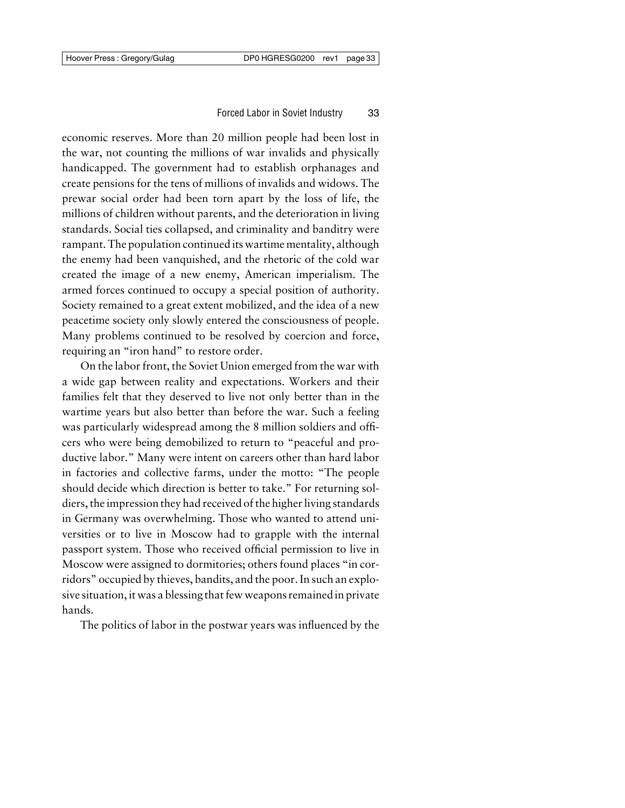economic reserves. More than 20 million people had been lost in the war, not counting the millions of war invalids and physically handicapped. The government had to establish orphanages and create pensions for the tens of millions of invalids and widows. The prewar social order had been torn apart by the loss of life, the millions of children without parents, and the deterioration in living standards. Social ties collapsed, and criminality and banditry were rampant. The population continued its wartime mentality, although the enemy had been vanquished, and the rhetoric of the cold war created the image of a new enemy, American imperialism. The armed forces continued to occupy a special position of authority. Society remained to a great extent mobilized, and the idea of a new peacetime society only slowly entered the consciousness of people. Many problems continued to be resolved by coercion and force, requiring an "iron hand" to restore order.

On the labor front, the Soviet Union emerged from the war with a wide gap between reality and expectations. Workers and their families felt that they deserved to live not only better than in the wartime years but also better than before the war. Such a feeling was particularly widespread among the 8 million soldiers and officers who were being demobilized to return to "peaceful and productive labor." Many were intent on careers other than hard labor in factories and collective farms, under the motto: "The people should decide which direction is better to take." For returning soldiers, the impression they had received of the higher living standards in Germany was overwhelming. Those who wanted to attend universities or to live in Moscow had to grapple with the internal passport system. Those who received official permission to live in Moscow were assigned to dormitories; others found places "in corridors" occupied by thieves, bandits, and the poor. In such an explosive situation, it was a blessing that few weapons remained in private hands.

The politics of labor in the postwar years was influenced by the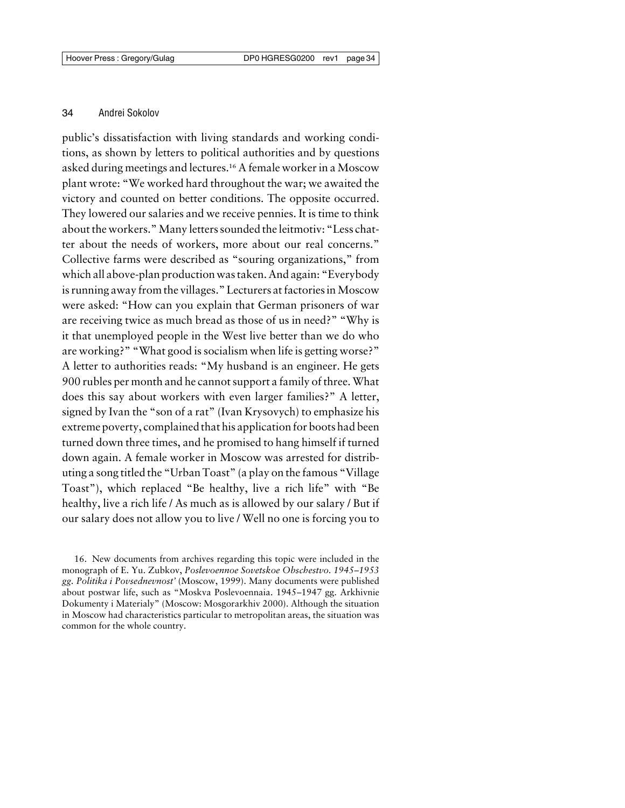public's dissatisfaction with living standards and working conditions, as shown by letters to political authorities and by questions asked during meetings and lectures.16 A female worker in a Moscow plant wrote: "We worked hard throughout the war; we awaited the victory and counted on better conditions. The opposite occurred. They lowered our salaries and we receive pennies. It is time to think about the workers."Many letters sounded the leitmotiv: "Less chatter about the needs of workers, more about our real concerns." Collective farms were described as "souring organizations," from which all above-plan production was taken. And again: "Everybody is running away from the villages." Lecturers at factories in Moscow were asked: "How can you explain that German prisoners of war are receiving twice as much bread as those of us in need?" "Why is it that unemployed people in the West live better than we do who are working?" "What good is socialism when life is getting worse?" A letter to authorities reads: "My husband is an engineer. He gets 900 rubles per month and he cannot support a family of three.What does this say about workers with even larger families?" A letter, signed by Ivan the "son of a rat" (Ivan Krysovych) to emphasize his extreme poverty, complained that his application for boots had been turned down three times, and he promised to hang himself if turned down again. A female worker in Moscow was arrested for distributing a song titled the "Urban Toast" (a play on the famous "Village Toast"), which replaced "Be healthy, live a rich life" with "Be healthy, live a rich life / As much as is allowed by our salary / But if our salary does not allow you to live / Well no one is forcing you to

<sup>16.</sup> New documents from archives regarding this topic were included in the monograph of E. Yu. Zubkov, *Poslevoennoe Sovetskoe Obschestvo. 1945–1953 gg. Politika i Povsednevnost'* (Moscow, 1999). Many documents were published about postwar life, such as "Moskva Poslevoennaia. 1945–1947 gg. Arkhivnie Dokumenty i Materialy" (Moscow: Mosgorarkhiv 2000). Although the situation in Moscow had characteristics particular to metropolitan areas, the situation was common for the whole country.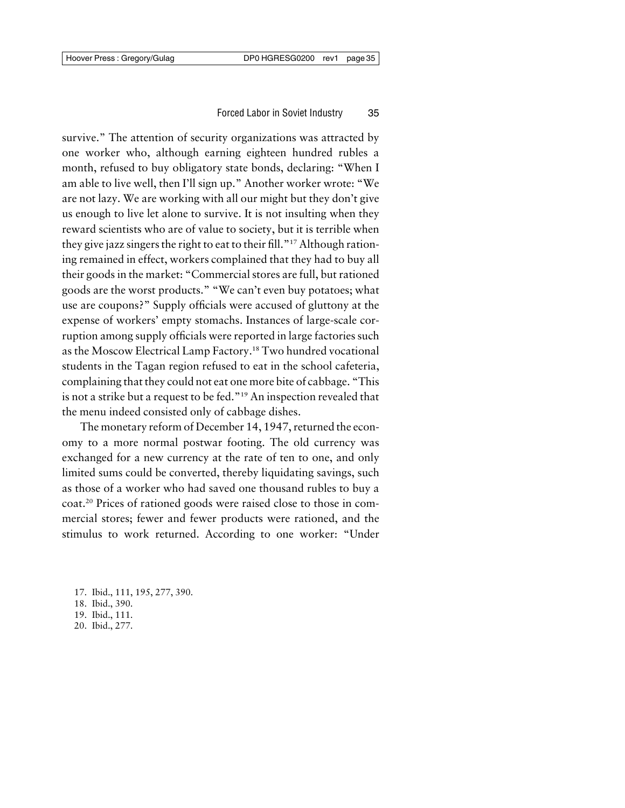survive." The attention of security organizations was attracted by one worker who, although earning eighteen hundred rubles a month, refused to buy obligatory state bonds, declaring: "When I am able to live well, then I'll sign up." Another worker wrote: "We are not lazy. We are working with all our might but they don't give us enough to live let alone to survive. It is not insulting when they reward scientists who are of value to society, but it is terrible when they give jazz singers the right to eat to their fill."17 Although rationing remained in effect, workers complained that they had to buy all their goods in the market: "Commercial stores are full, but rationed goods are the worst products." "We can't even buy potatoes; what use are coupons?" Supply officials were accused of gluttony at the expense of workers' empty stomachs. Instances of large-scale corruption among supply officials were reported in large factories such as the Moscow Electrical Lamp Factory.18 Two hundred vocational students in the Tagan region refused to eat in the school cafeteria, complaining that they could not eat one more bite of cabbage. "This is not a strike but a request to be fed."19 An inspection revealed that the menu indeed consisted only of cabbage dishes.

The monetary reform of December 14, 1947, returned the economy to a more normal postwar footing. The old currency was exchanged for a new currency at the rate of ten to one, and only limited sums could be converted, thereby liquidating savings, such as those of a worker who had saved one thousand rubles to buy a coat.20 Prices of rationed goods were raised close to those in commercial stores; fewer and fewer products were rationed, and the stimulus to work returned. According to one worker: "Under

17. Ibid., 111, 195, 277, 390.

18. Ibid., 390.

19. Ibid., 111.

20. Ibid., 277.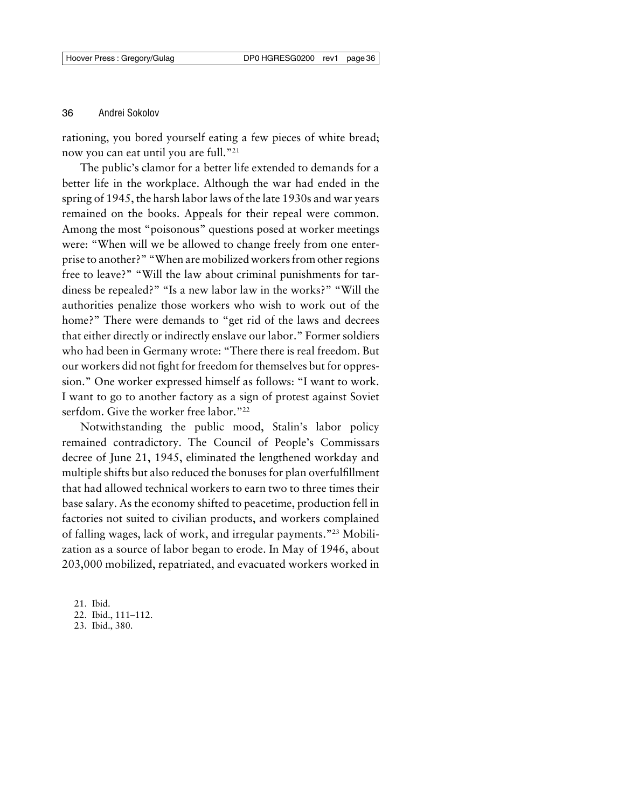rationing, you bored yourself eating a few pieces of white bread; now you can eat until you are full."21

The public's clamor for a better life extended to demands for a better life in the workplace. Although the war had ended in the spring of 1945, the harsh labor laws of the late 1930s and war years remained on the books. Appeals for their repeal were common. Among the most "poisonous" questions posed at worker meetings were: "When will we be allowed to change freely from one enterprise to another?" "When are mobilized workers from other regions free to leave?" "Will the law about criminal punishments for tardiness be repealed?" "Is a new labor law in the works?" "Will the authorities penalize those workers who wish to work out of the home?" There were demands to "get rid of the laws and decrees that either directly or indirectly enslave our labor." Former soldiers who had been in Germany wrote: "There there is real freedom. But our workers did not fight for freedom for themselves but for oppression." One worker expressed himself as follows: "I want to work. I want to go to another factory as a sign of protest against Soviet serfdom. Give the worker free labor."<sup>22</sup>

Notwithstanding the public mood, Stalin's labor policy remained contradictory. The Council of People's Commissars decree of June 21, 1945, eliminated the lengthened workday and multiple shifts but also reduced the bonuses for plan overfulfillment that had allowed technical workers to earn two to three times their base salary. As the economy shifted to peacetime, production fell in factories not suited to civilian products, and workers complained of falling wages, lack of work, and irregular payments."23 Mobilization as a source of labor began to erode. In May of 1946, about 203,000 mobilized, repatriated, and evacuated workers worked in

21. Ibid. 22. Ibid., 111–112. 23. Ibid., 380.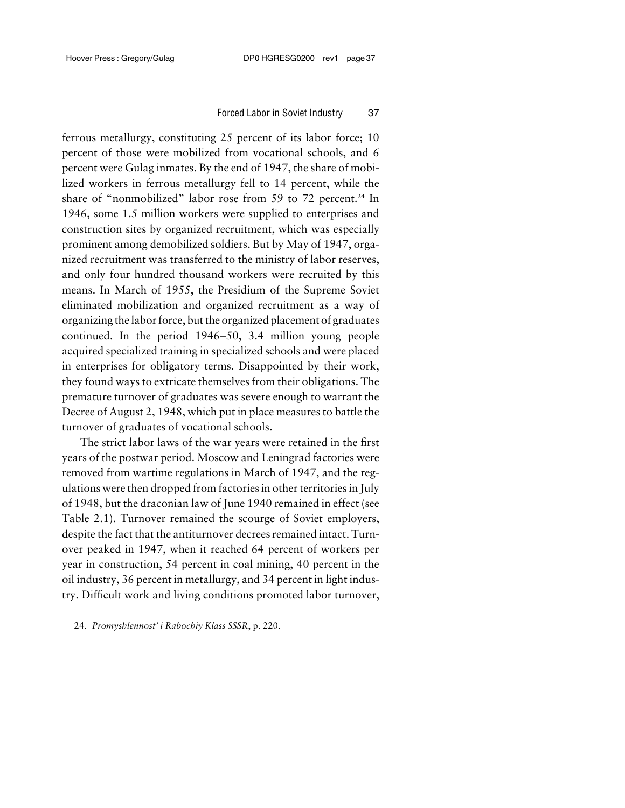ferrous metallurgy, constituting 25 percent of its labor force; 10 percent of those were mobilized from vocational schools, and 6 percent were Gulag inmates. By the end of 1947, the share of mobilized workers in ferrous metallurgy fell to 14 percent, while the share of "nonmobilized" labor rose from 59 to 72 percent.<sup>24</sup> In 1946, some 1.5 million workers were supplied to enterprises and construction sites by organized recruitment, which was especially prominent among demobilized soldiers. But by May of 1947, organized recruitment was transferred to the ministry of labor reserves, and only four hundred thousand workers were recruited by this means. In March of 1955, the Presidium of the Supreme Soviet eliminated mobilization and organized recruitment as a way of organizing the labor force, but the organized placement of graduates continued. In the period 1946–50, 3.4 million young people acquired specialized training in specialized schools and were placed in enterprises for obligatory terms. Disappointed by their work, they found ways to extricate themselves from their obligations. The premature turnover of graduates was severe enough to warrant the Decree of August 2, 1948, which put in place measures to battle the turnover of graduates of vocational schools.

The strict labor laws of the war years were retained in the first years of the postwar period. Moscow and Leningrad factories were removed from wartime regulations in March of 1947, and the regulations were then dropped from factories in other territories in July of 1948, but the draconian law of June 1940 remained in effect (see Table 2.1). Turnover remained the scourge of Soviet employers, despite the fact that the antiturnover decrees remained intact. Turnover peaked in 1947, when it reached 64 percent of workers per year in construction, 54 percent in coal mining, 40 percent in the oil industry, 36 percent in metallurgy, and 34 percent in light industry. Difficult work and living conditions promoted labor turnover,

24. *Promyshlennost' i Rabochiy Klass SSSR*, p. 220.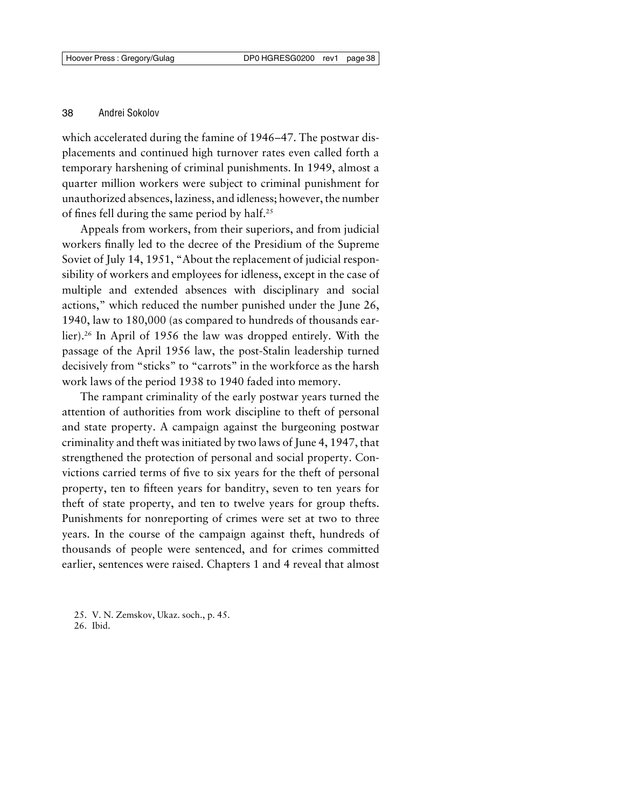which accelerated during the famine of 1946–47. The postwar displacements and continued high turnover rates even called forth a temporary harshening of criminal punishments. In 1949, almost a quarter million workers were subject to criminal punishment for unauthorized absences, laziness, and idleness; however, the number of fines fell during the same period by half.25

Appeals from workers, from their superiors, and from judicial workers finally led to the decree of the Presidium of the Supreme Soviet of July 14, 1951, "About the replacement of judicial responsibility of workers and employees for idleness, except in the case of multiple and extended absences with disciplinary and social actions," which reduced the number punished under the June 26, 1940, law to 180,000 (as compared to hundreds of thousands earlier).26 In April of 1956 the law was dropped entirely. With the passage of the April 1956 law, the post-Stalin leadership turned decisively from "sticks" to "carrots" in the workforce as the harsh work laws of the period 1938 to 1940 faded into memory.

The rampant criminality of the early postwar years turned the attention of authorities from work discipline to theft of personal and state property. A campaign against the burgeoning postwar criminality and theft was initiated by two laws of June 4, 1947, that strengthened the protection of personal and social property. Convictions carried terms of five to six years for the theft of personal property, ten to fifteen years for banditry, seven to ten years for theft of state property, and ten to twelve years for group thefts. Punishments for nonreporting of crimes were set at two to three years. In the course of the campaign against theft, hundreds of thousands of people were sentenced, and for crimes committed earlier, sentences were raised. Chapters 1 and 4 reveal that almost

<sup>25.</sup> V. N. Zemskov, Ukaz. soch., p. 45. 26. Ibid.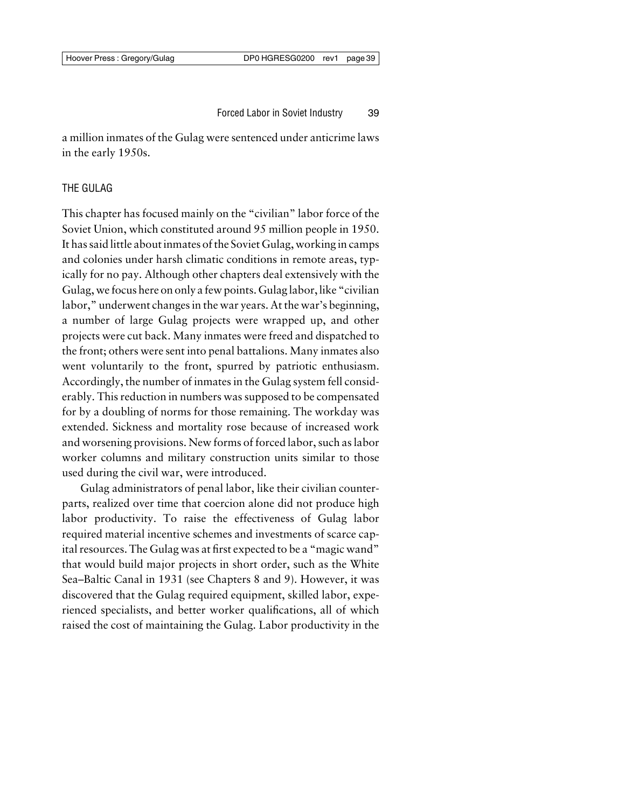a million inmates of the Gulag were sentenced under anticrime laws in the early 1950s.

### THE GULAG

This chapter has focused mainly on the "civilian" labor force of the Soviet Union, which constituted around 95 million people in 1950. It has said little about inmates of the Soviet Gulag, working in camps and colonies under harsh climatic conditions in remote areas, typically for no pay. Although other chapters deal extensively with the Gulag, we focus here on only a few points. Gulag labor, like "civilian labor," underwent changes in the war years. At the war's beginning, a number of large Gulag projects were wrapped up, and other projects were cut back. Many inmates were freed and dispatched to the front; others were sent into penal battalions. Many inmates also went voluntarily to the front, spurred by patriotic enthusiasm. Accordingly, the number of inmates in the Gulag system fell considerably. This reduction in numbers was supposed to be compensated for by a doubling of norms for those remaining. The workday was extended. Sickness and mortality rose because of increased work and worsening provisions. New forms of forced labor, such as labor worker columns and military construction units similar to those used during the civil war, were introduced.

Gulag administrators of penal labor, like their civilian counterparts, realized over time that coercion alone did not produce high labor productivity. To raise the effectiveness of Gulag labor required material incentive schemes and investments of scarce capital resources. The Gulag was at first expected to be a "magic wand" that would build major projects in short order, such as the White Sea–Baltic Canal in 1931 (see Chapters 8 and 9). However, it was discovered that the Gulag required equipment, skilled labor, experienced specialists, and better worker qualifications, all of which raised the cost of maintaining the Gulag. Labor productivity in the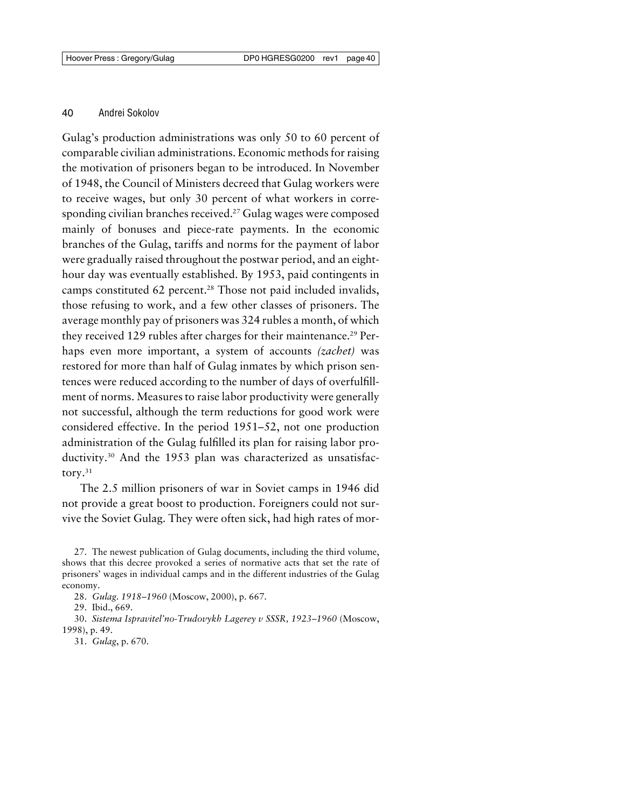Gulag's production administrations was only 50 to 60 percent of comparable civilian administrations. Economic methods for raising the motivation of prisoners began to be introduced. In November of 1948, the Council of Ministers decreed that Gulag workers were to receive wages, but only 30 percent of what workers in corresponding civilian branches received.<sup>27</sup> Gulag wages were composed mainly of bonuses and piece-rate payments. In the economic branches of the Gulag, tariffs and norms for the payment of labor were gradually raised throughout the postwar period, and an eighthour day was eventually established. By 1953, paid contingents in camps constituted 62 percent.<sup>28</sup> Those not paid included invalids, those refusing to work, and a few other classes of prisoners. The average monthly pay of prisoners was 324 rubles a month, of which they received 129 rubles after charges for their maintenance.<sup>29</sup> Perhaps even more important, a system of accounts *(zachet)* was restored for more than half of Gulag inmates by which prison sentences were reduced according to the number of days of overfulfillment of norms. Measures to raise labor productivity were generally not successful, although the term reductions for good work were considered effective. In the period 1951–52, not one production administration of the Gulag fulfilled its plan for raising labor productivity.<sup>30</sup> And the 1953 plan was characterized as unsatisfactory.<sup>31</sup>

The 2.5 million prisoners of war in Soviet camps in 1946 did not provide a great boost to production. Foreigners could not survive the Soviet Gulag. They were often sick, had high rates of mor-

31. *Gulag*, p. 670.

<sup>27.</sup> The newest publication of Gulag documents, including the third volume, shows that this decree provoked a series of normative acts that set the rate of prisoners' wages in individual camps and in the different industries of the Gulag economy.

<sup>28.</sup> *Gulag. 1918–1960* (Moscow, 2000), p. 667.

<sup>29.</sup> Ibid., 669.

<sup>30.</sup> *Sistema Ispravitel'no-Trudovykh Lagerey v SSSR, 1923–1960* (Moscow, 1998), p. 49.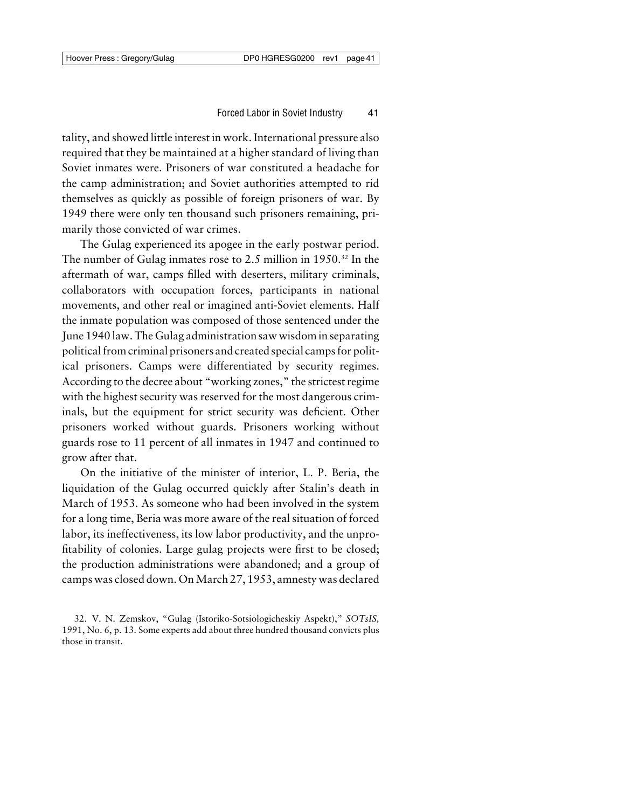tality, and showed little interest in work. International pressure also required that they be maintained at a higher standard of living than Soviet inmates were. Prisoners of war constituted a headache for the camp administration; and Soviet authorities attempted to rid themselves as quickly as possible of foreign prisoners of war. By 1949 there were only ten thousand such prisoners remaining, primarily those convicted of war crimes.

The Gulag experienced its apogee in the early postwar period. The number of Gulag inmates rose to 2.5 million in 1950.32 In the aftermath of war, camps filled with deserters, military criminals, collaborators with occupation forces, participants in national movements, and other real or imagined anti-Soviet elements. Half the inmate population was composed of those sentenced under the June 1940 law. The Gulag administration saw wisdom in separating political from criminal prisoners and created special camps for political prisoners. Camps were differentiated by security regimes. According to the decree about "working zones," the strictest regime with the highest security was reserved for the most dangerous criminals, but the equipment for strict security was deficient. Other prisoners worked without guards. Prisoners working without guards rose to 11 percent of all inmates in 1947 and continued to grow after that.

On the initiative of the minister of interior, L. P. Beria, the liquidation of the Gulag occurred quickly after Stalin's death in March of 1953. As someone who had been involved in the system for a long time, Beria was more aware of the real situation of forced labor, its ineffectiveness, its low labor productivity, and the unprofitability of colonies. Large gulag projects were first to be closed; the production administrations were abandoned; and a group of camps was closed down. On March 27, 1953, amnesty was declared

<sup>32.</sup> V. N. Zemskov, "Gulag (Istoriko-Sotsiologicheskiy Aspekt)," *SOTsIS,* 1991, No. 6, p. 13. Some experts add about three hundred thousand convicts plus those in transit.